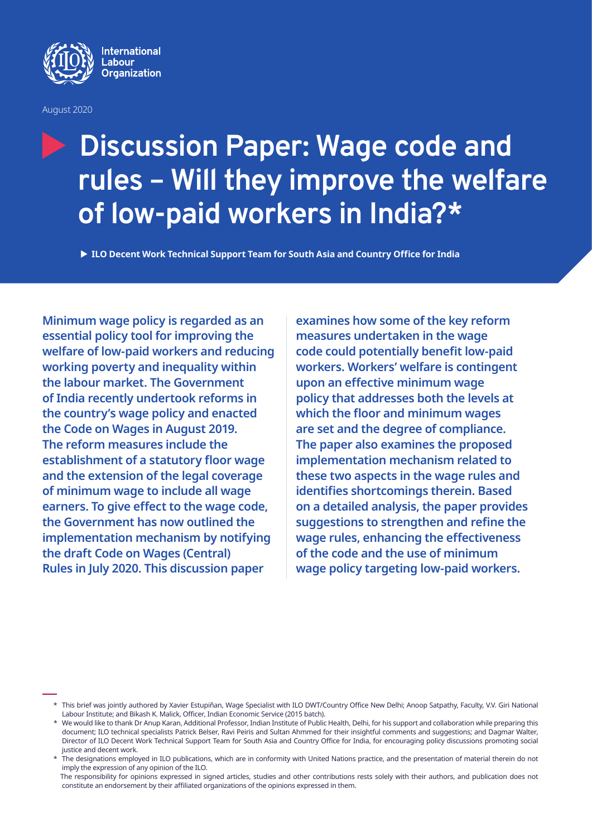

August 2020

# **Discussion Paper: Wage code and rules – Will they improve the welfare of low-paid workers in India?\***

▶ ILO Decent Work Technical Support Team for South Asia and Country Office for India

**Minimum wage policy is regarded as an essential policy tool for improving the welfare of low-paid workers and reducing working poverty and inequality within the labour market. The Government of India recently undertook reforms in the country's wage policy and enacted the Code on Wages in August 2019. The reform measures include the establishment of a statutory floor wage and the extension of the legal coverage of minimum wage to include all wage earners. To give effect to the wage code, the Government has now outlined the implementation mechanism by notifying the draft Code on Wages (Central) Rules in July 2020. This discussion paper** 

**examines how some of the key reform measures undertaken in the wage code could potentially benefit low-paid workers. Workers' welfare is contingent upon an effective minimum wage policy that addresses both the levels at which the floor and minimum wages are set and the degree of compliance. The paper also examines the proposed implementation mechanism related to these two aspects in the wage rules and identifies shortcomings therein. Based on a detailed analysis, the paper provides suggestions to strengthen and refine the wage rules, enhancing the effectiveness of the code and the use of minimum wage policy targeting low-paid workers.**

<sup>\*</sup> This brief was jointly authored by Xavier Estupiñan, Wage Specialist with ILO DWT/Country Office New Delhi; Anoop Satpathy, Faculty, V.V. Giri National Labour Institute; and Bikash K. Malick, Officer, Indian Economic Service (2015 batch).

We would like to thank Dr Anup Karan, Additional Professor, Indian Institute of Public Health, Delhi, for his support and collaboration while preparing this document; ILO technical specialists Patrick Belser, Ravi Peiris and Sultan Ahmmed for their insightful comments and suggestions; and Dagmar Walter, Director of ILO Decent Work Technical Support Team for South Asia and Country Office for India, for encouraging policy discussions promoting social justice and decent work.

The designations employed in ILO publications, which are in conformity with United Nations practice, and the presentation of material therein do not imply the expression of any opinion of the ILO.

The responsibility for opinions expressed in signed articles, studies and other contributions rests solely with their authors, and publication does not constitute an endorsement by their affiliated organizations of the opinions expressed in them.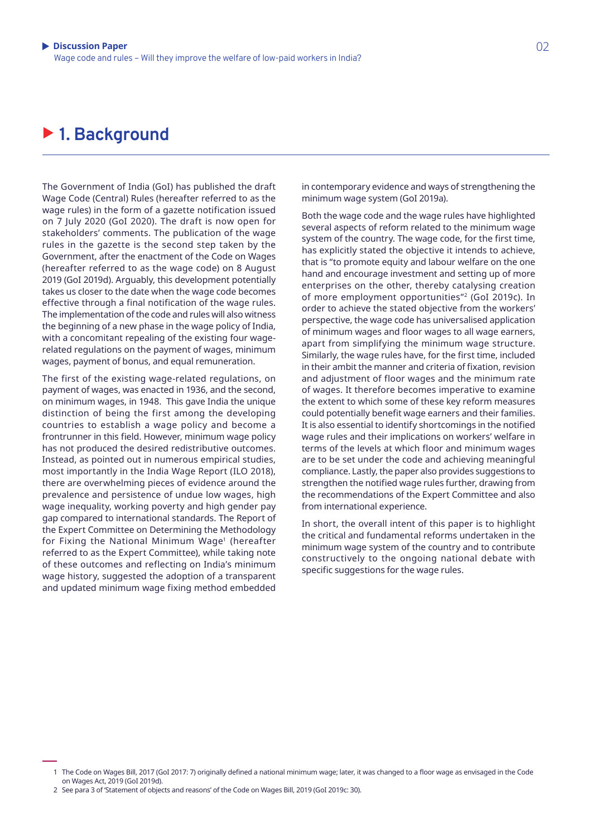#### ▶ 1. Background

The Government of India (GoI) has published the draft Wage Code (Central) Rules (hereafter referred to as the wage rules) in the form of a gazette notification issued on 7 July 2020 (GoI 2020). The draft is now open for stakeholders' comments. The publication of the wage rules in the gazette is the second step taken by the Government, after the enactment of the Code on Wages (hereafter referred to as the wage code) on 8 August 2019 (GoI 2019d). Arguably, this development potentially takes us closer to the date when the wage code becomes effective through a final notification of the wage rules. The implementation of the code and rules will also witness the beginning of a new phase in the wage policy of India, with a concomitant repealing of the existing four wagerelated regulations on the payment of wages, minimum wages, payment of bonus, and equal remuneration.

The first of the existing wage-related regulations, on payment of wages, was enacted in 1936, and the second, on minimum wages, in 1948. This gave India the unique distinction of being the first among the developing countries to establish a wage policy and become a frontrunner in this field. However, minimum wage policy has not produced the desired redistributive outcomes. Instead, as pointed out in numerous empirical studies, most importantly in the India Wage Report (ILO 2018), there are overwhelming pieces of evidence around the prevalence and persistence of undue low wages, high wage inequality, working poverty and high gender pay gap compared to international standards. The Report of the Expert Committee on Determining the Methodology for Fixing the National Minimum Wage<sup>1</sup> (hereafter referred to as the Expert Committee), while taking note of these outcomes and reflecting on India's minimum wage history, suggested the adoption of a transparent and updated minimum wage fixing method embedded in contemporary evidence and ways of strengthening the minimum wage system (GoI 2019a).

Both the wage code and the wage rules have highlighted several aspects of reform related to the minimum wage system of the country. The wage code, for the first time, has explicitly stated the objective it intends to achieve, that is "to promote equity and labour welfare on the one hand and encourage investment and setting up of more enterprises on the other, thereby catalysing creation of more employment opportunities"2 (GoI 2019c). In order to achieve the stated objective from the workers' perspective, the wage code has universalised application of minimum wages and floor wages to all wage earners, apart from simplifying the minimum wage structure. Similarly, the wage rules have, for the first time, included in their ambit the manner and criteria of fixation, revision and adjustment of floor wages and the minimum rate of wages. It therefore becomes imperative to examine the extent to which some of these key reform measures could potentially benefit wage earners and their families. It is also essential to identify shortcomings in the notified wage rules and their implications on workers' welfare in terms of the levels at which floor and minimum wages are to be set under the code and achieving meaningful compliance. Lastly, the paper also provides suggestions to strengthen the notified wage rules further, drawing from the recommendations of the Expert Committee and also from international experience.

In short, the overall intent of this paper is to highlight the critical and fundamental reforms undertaken in the minimum wage system of the country and to contribute constructively to the ongoing national debate with specific suggestions for the wage rules.

2 See para 3 of 'Statement of objects and reasons' of the Code on Wages Bill, 2019 (GoI 2019c: 30).

<sup>1</sup> The Code on Wages Bill, 2017 (GoI 2017: 7) originally defined a national minimum wage; later, it was changed to a floor wage as envisaged in the Code on Wages Act, 2019 (GoI 2019d).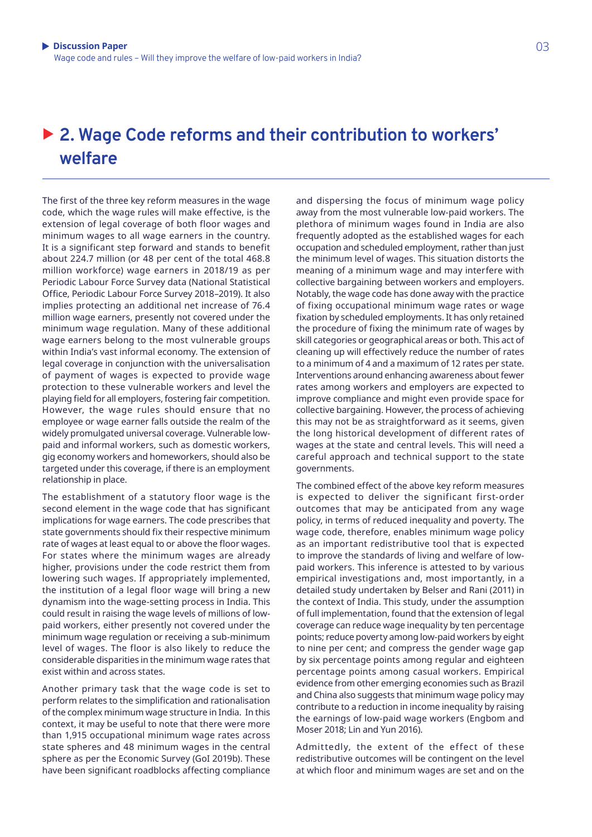03

# ▶ 2. Wage Code reforms and their contribution to workers' **welfare**

The first of the three key reform measures in the wage code, which the wage rules will make effective, is the extension of legal coverage of both floor wages and minimum wages to all wage earners in the country. It is a significant step forward and stands to benefit about 224.7 million (or 48 per cent of the total 468.8 million workforce) wage earners in 2018/19 as per Periodic Labour Force Survey data (National Statistical Office, Periodic Labour Force Survey 2018–2019). It also implies protecting an additional net increase of 76.4 million wage earners, presently not covered under the minimum wage regulation. Many of these additional wage earners belong to the most vulnerable groups within India's vast informal economy. The extension of legal coverage in conjunction with the universalisation of payment of wages is expected to provide wage protection to these vulnerable workers and level the playing field for all employers, fostering fair competition. However, the wage rules should ensure that no employee or wage earner falls outside the realm of the widely promulgated universal coverage. Vulnerable lowpaid and informal workers, such as domestic workers, gig economy workers and homeworkers, should also be targeted under this coverage, if there is an employment relationship in place.

The establishment of a statutory floor wage is the second element in the wage code that has significant implications for wage earners. The code prescribes that state governments should fix their respective minimum rate of wages at least equal to or above the floor wages. For states where the minimum wages are already higher, provisions under the code restrict them from lowering such wages. If appropriately implemented, the institution of a legal floor wage will bring a new dynamism into the wage-setting process in India. This could result in raising the wage levels of millions of lowpaid workers, either presently not covered under the minimum wage regulation or receiving a sub-minimum level of wages. The floor is also likely to reduce the considerable disparities in the minimum wage rates that exist within and across states.

Another primary task that the wage code is set to perform relates to the simplification and rationalisation of the complex minimum wage structure in India. In this context, it may be useful to note that there were more than 1,915 occupational minimum wage rates across state spheres and 48 minimum wages in the central sphere as per the Economic Survey (GoI 2019b). These have been significant roadblocks affecting compliance and dispersing the focus of minimum wage policy away from the most vulnerable low-paid workers. The plethora of minimum wages found in India are also frequently adopted as the established wages for each occupation and scheduled employment, rather than just the minimum level of wages. This situation distorts the meaning of a minimum wage and may interfere with collective bargaining between workers and employers. Notably, the wage code has done away with the practice of fixing occupational minimum wage rates or wage fixation by scheduled employments. It has only retained the procedure of fixing the minimum rate of wages by skill categories or geographical areas or both. This act of cleaning up will effectively reduce the number of rates to a minimum of 4 and a maximum of 12 rates per state. Interventions around enhancing awareness about fewer rates among workers and employers are expected to improve compliance and might even provide space for collective bargaining. However, the process of achieving this may not be as straightforward as it seems, given the long historical development of different rates of wages at the state and central levels. This will need a careful approach and technical support to the state governments.

The combined effect of the above key reform measures is expected to deliver the significant first-order outcomes that may be anticipated from any wage policy, in terms of reduced inequality and poverty. The wage code, therefore, enables minimum wage policy as an important redistributive tool that is expected to improve the standards of living and welfare of lowpaid workers. This inference is attested to by various empirical investigations and, most importantly, in a detailed study undertaken by Belser and Rani (2011) in the context of India. This study, under the assumption of full implementation, found that the extension of legal coverage can reduce wage inequality by ten percentage points; reduce poverty among low-paid workers by eight to nine per cent; and compress the gender wage gap by six percentage points among regular and eighteen percentage points among casual workers. Empirical evidence from other emerging economies such as Brazil and China also suggests that minimum wage policy may contribute to a reduction in income inequality by raising the earnings of low-paid wage workers (Engbom and Moser 2018; Lin and Yun 2016).

Admittedly, the extent of the effect of these redistributive outcomes will be contingent on the level at which floor and minimum wages are set and on the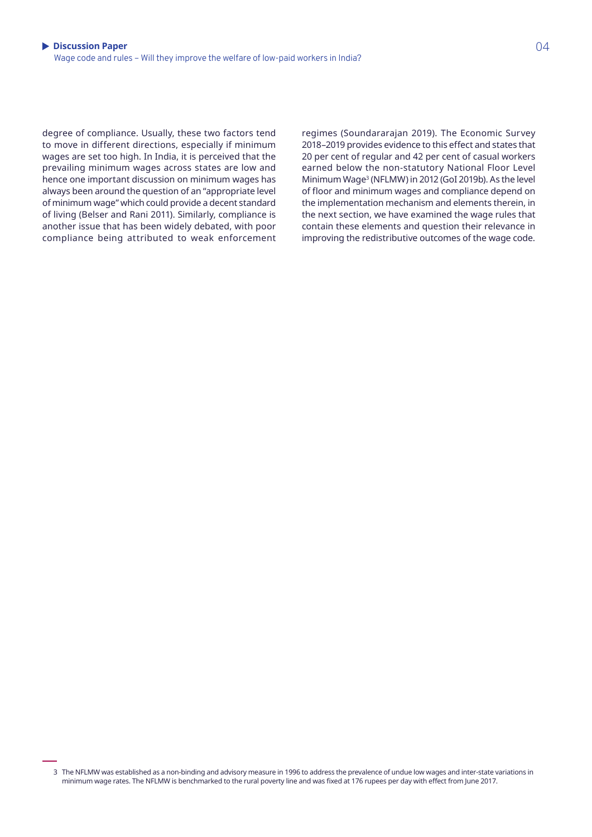degree of compliance. Usually, these two factors tend to move in different directions, especially if minimum wages are set too high. In India, it is perceived that the prevailing minimum wages across states are low and hence one important discussion on minimum wages has always been around the question of an "appropriate level of minimum wage" which could provide a decent standard of living (Belser and Rani 2011). Similarly, compliance is another issue that has been widely debated, with poor compliance being attributed to weak enforcement regimes (Soundararajan 2019). The Economic Survey 2018–2019 provides evidence to this effect and states that 20 per cent of regular and 42 per cent of casual workers earned below the non-statutory National Floor Level Minimum Wage3 (NFLMW) in 2012 (GoI 2019b). As the level of floor and minimum wages and compliance depend on the implementation mechanism and elements therein, in the next section, we have examined the wage rules that contain these elements and question their relevance in improving the redistributive outcomes of the wage code.

3 The NFLMW was established as a non-binding and advisory measure in 1996 to address the prevalence of undue low wages and inter-state variations in minimum wage rates. The NFLMW is benchmarked to the rural poverty line and was fixed at 176 rupees per day with effect from June 2017.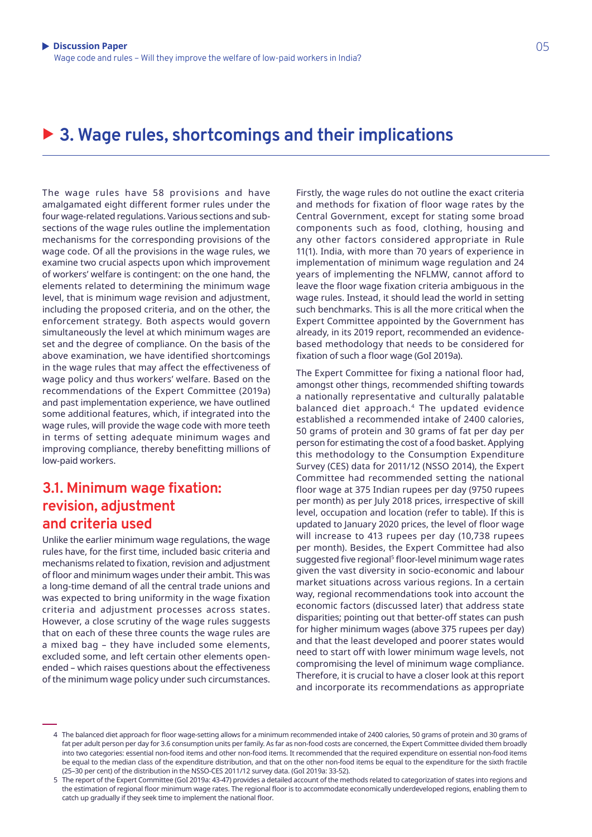## ▶ 3. Wage rules, shortcomings and their implications

The wage rules have 58 provisions and have amalgamated eight different former rules under the four wage-related regulations. Various sections and subsections of the wage rules outline the implementation mechanisms for the corresponding provisions of the wage code. Of all the provisions in the wage rules, we examine two crucial aspects upon which improvement of workers' welfare is contingent: on the one hand, the elements related to determining the minimum wage level, that is minimum wage revision and adjustment, including the proposed criteria, and on the other, the enforcement strategy. Both aspects would govern simultaneously the level at which minimum wages are set and the degree of compliance. On the basis of the above examination, we have identified shortcomings in the wage rules that may affect the effectiveness of wage policy and thus workers' welfare. Based on the recommendations of the Expert Committee (2019a) and past implementation experience, we have outlined some additional features, which, if integrated into the wage rules, will provide the wage code with more teeth in terms of setting adequate minimum wages and improving compliance, thereby benefitting millions of low-paid workers.

#### **3.1. Minimum wage fixation: revision, adjustment and criteria used**

Unlike the earlier minimum wage regulations, the wage rules have, for the first time, included basic criteria and mechanisms related to fixation, revision and adjustment of floor and minimum wages under their ambit. This was a long-time demand of all the central trade unions and was expected to bring uniformity in the wage fixation criteria and adjustment processes across states. However, a close scrutiny of the wage rules suggests that on each of these three counts the wage rules are a mixed bag – they have included some elements, excluded some, and left certain other elements openended – which raises questions about the effectiveness of the minimum wage policy under such circumstances.

Firstly, the wage rules do not outline the exact criteria and methods for fixation of floor wage rates by the Central Government, except for stating some broad components such as food, clothing, housing and any other factors considered appropriate in Rule 11(1). India, with more than 70 years of experience in implementation of minimum wage regulation and 24 years of implementing the NFLMW, cannot afford to leave the floor wage fixation criteria ambiguous in the wage rules. Instead, it should lead the world in setting such benchmarks. This is all the more critical when the Expert Committee appointed by the Government has already, in its 2019 report, recommended an evidencebased methodology that needs to be considered for fixation of such a floor wage (GoI 2019a).

The Expert Committee for fixing a national floor had, amongst other things, recommended shifting towards a nationally representative and culturally palatable balanced diet approach.4 The updated evidence established a recommended intake of 2400 calories, 50 grams of protein and 30 grams of fat per day per person for estimating the cost of a food basket. Applying this methodology to the Consumption Expenditure Survey (CES) data for 2011/12 (NSSO 2014), the Expert Committee had recommended setting the national floor wage at 375 Indian rupees per day (9750 rupees per month) as per July 2018 prices, irrespective of skill level, occupation and location (refer to table). If this is updated to January 2020 prices, the level of floor wage will increase to 413 rupees per day (10,738 rupees per month). Besides, the Expert Committee had also suggested five regional<sup>5</sup> floor-level minimum wage rates given the vast diversity in socio-economic and labour market situations across various regions. In a certain way, regional recommendations took into account the economic factors (discussed later) that address state disparities; pointing out that better-off states can push for higher minimum wages (above 375 rupees per day) and that the least developed and poorer states would need to start off with lower minimum wage levels, not compromising the level of minimum wage compliance. Therefore, it is crucial to have a closer look at this report and incorporate its recommendations as appropriate

**Contact details** fat per adult person per day for 3.6 consumption units per family. As far as non-food costs are concerned, the Expert Committee divided them broadly 4 The balanced diet approach for floor wage-setting allows for a minimum recommended intake of 2400 calories, 50 grams of protein and 30 grams of into two categories: essential non-food items and other non-food items. It recommended that the required expenditure on essential non-food items be equal to the median class of the expenditure distribution, and that on the other non-food items be equal to the expenditure for the sixth fractile (25–30 per cent) of the distribution in the NSSO-CES 2011/12 survey data. (GoI 2019a: 33-52).

<sup>5</sup> The report of the Expert Committee (GoI 2019a: 43-47) provides a detailed account of the methods related to categorization of states into regions and the estimation of regional floor minimum wage rates. The regional floor is to accommodate economically underdeveloped regions, enabling them to catch up gradually if they seek time to implement the national floor.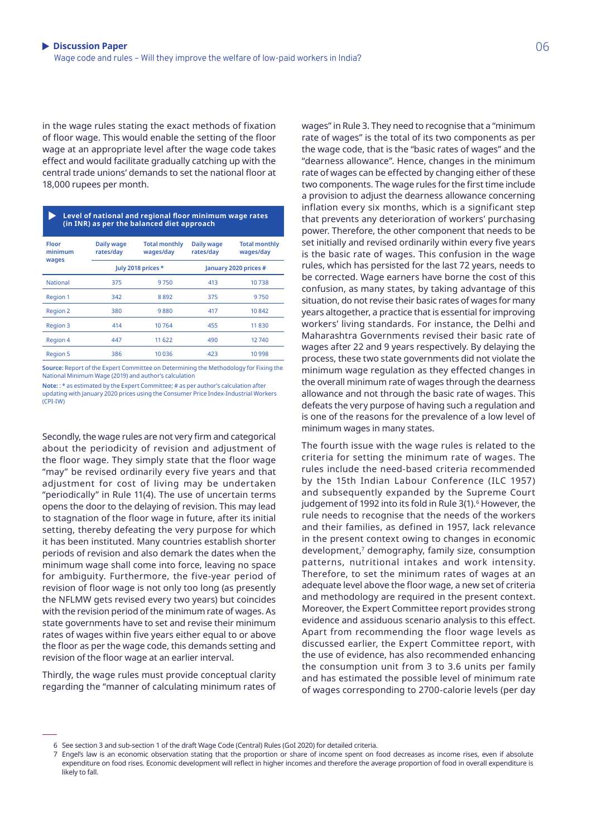in the wage rules stating the exact methods of fixation of floor wage. This would enable the setting of the floor wage at an appropriate level after the wage code takes effect and would facilitate gradually catching up with the central trade unions' demands to set the national floor at 18,000 rupees per month.

 **Level of national and regional floor minimum wage rates (in INR) as per the balanced diet approach**

| <b>Floor</b><br>minimum<br>wages | Daily wage<br>rates/day | <b>Total monthly</b><br>wages/day | Daily wage<br>rates/day | <b>Total monthly</b><br>wages/day |
|----------------------------------|-------------------------|-----------------------------------|-------------------------|-----------------------------------|
|                                  | July 2018 prices *      |                                   | January 2020 prices #   |                                   |
| <b>National</b>                  | 375                     | 9750                              | 413                     | 10738                             |
| <b>Region 1</b>                  | 342                     | 8892                              | 375                     | 9750                              |
| <b>Region 2</b>                  | 380                     | 9880                              | 417                     | 10842                             |
| <b>Region 3</b>                  | 414                     | 10764                             | 455                     | 11830                             |
| <b>Region 4</b>                  | 447                     | 11 622                            | 490                     | 12740                             |
| <b>Region 5</b>                  | 386                     | 10 0 36                           | 423                     | 10998                             |

**Source:** Report of the Expert Committee on Determining the Methodology for Fixing the National Minimum Wage (2019) and author's calculation

Secondly, the wage rules are not very firm and categorical about the periodicity of revision and adjustment of the floor wage. They simply state that the floor wage "may" be revised ordinarily every five years and that adjustment for cost of living may be undertaken "periodically" in Rule 11(4). The use of uncertain terms opens the door to the delaying of revision. This may lead to stagnation of the floor wage in future, after its initial setting, thereby defeating the very purpose for which it has been instituted. Many countries establish shorter periods of revision and also demark the dates when the minimum wage shall come into force, leaving no space for ambiguity. Furthermore, the five-year period of revision of floor wage is not only too long (as presently the NFLMW gets revised every two years) but coincides with the revision period of the minimum rate of wages. As state governments have to set and revise their minimum rates of wages within five years either equal to or above the floor as per the wage code, this demands setting and revision of the floor wage at an earlier interval.

Thirdly, the wage rules must provide conceptual clarity regarding the "manner of calculating minimum rates of wages" in Rule 3. They need to recognise that a "minimum rate of wages" is the total of its two components as per the wage code, that is the "basic rates of wages" and the "dearness allowance". Hence, changes in the minimum rate of wages can be effected by changing either of these two components. The wage rules for the first time include a provision to adjust the dearness allowance concerning inflation every six months, which is a significant step that prevents any deterioration of workers' purchasing power. Therefore, the other component that needs to be set initially and revised ordinarily within every five years is the basic rate of wages. This confusion in the wage rules, which has persisted for the last 72 years, needs to be corrected. Wage earners have borne the cost of this confusion, as many states, by taking advantage of this situation, do not revise their basic rates of wages for many years altogether, a practice that is essential for improving workers' living standards. For instance, the Delhi and Maharashtra Governments revised their basic rate of wages after 22 and 9 years respectively. By delaying the process, these two state governments did not violate the minimum wage regulation as they effected changes in the overall minimum rate of wages through the dearness allowance and not through the basic rate of wages. This defeats the very purpose of having such a regulation and is one of the reasons for the prevalence of a low level of minimum wages in many states.

The fourth issue with the wage rules is related to the criteria for setting the minimum rate of wages. The rules include the need-based criteria recommended by the 15th Indian Labour Conference (ILC 1957) and subsequently expanded by the Supreme Court judgement of 1992 into its fold in Rule 3(1).<sup>6</sup> However, the rule needs to recognise that the needs of the workers and their families, as defined in 1957, lack relevance in the present context owing to changes in economic development,<sup>7</sup> demography, family size, consumption patterns, nutritional intakes and work intensity. Therefore, to set the minimum rates of wages at an adequate level above the floor wage, a new set of criteria and methodology are required in the present context. Moreover, the Expert Committee report provides strong evidence and assiduous scenario analysis to this effect. Apart from recommending the floor wage levels as discussed earlier, the Expert Committee report, with the use of evidence, has also recommended enhancing the consumption unit from 3 to 3.6 units per family and has estimated the possible level of minimum rate of wages corresponding to 2700-calorie levels (per day

**Note:** : \* as estimated by the Expert Committee; # as per author's calculation after updating with January 2020 prices using the Consumer Price Index-Industrial Workers (CPI-IW)

<sup>6</sup> See section 3 and sub-section 1 of the draft Wage Code (Central) Rules (GoI 2020) for detailed criteria.

**Contact details** 7 Engel's law is an economic observation stating that the proportion or share of income spent on food decreases as income rises, even if absolute expenditure on food rises. Economic development will reflect in higher incomes and therefore the average proportion of food in overall expenditure is likely to fall.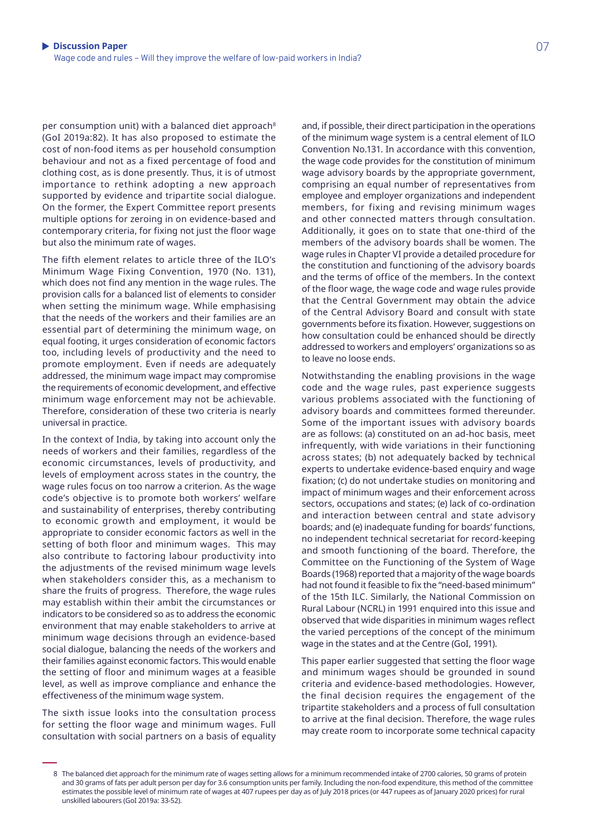per consumption unit) with a balanced diet approach<sup>8</sup> (GoI 2019a:82). It has also proposed to estimate the cost of non-food items as per household consumption behaviour and not as a fixed percentage of food and clothing cost, as is done presently. Thus, it is of utmost importance to rethink adopting a new approach supported by evidence and tripartite social dialogue. On the former, the Expert Committee report presents multiple options for zeroing in on evidence-based and contemporary criteria, for fixing not just the floor wage but also the minimum rate of wages.

The fifth element relates to article three of the ILO's Minimum Wage Fixing Convention, 1970 (No. 131), which does not find any mention in the wage rules. The provision calls for a balanced list of elements to consider when setting the minimum wage. While emphasising that the needs of the workers and their families are an essential part of determining the minimum wage, on equal footing, it urges consideration of economic factors too, including levels of productivity and the need to promote employment. Even if needs are adequately addressed, the minimum wage impact may compromise the requirements of economic development, and effective minimum wage enforcement may not be achievable. Therefore, consideration of these two criteria is nearly universal in practice.

In the context of India, by taking into account only the needs of workers and their families, regardless of the economic circumstances, levels of productivity, and levels of employment across states in the country, the wage rules focus on too narrow a criterion. As the wage code's objective is to promote both workers' welfare and sustainability of enterprises, thereby contributing to economic growth and employment, it would be appropriate to consider economic factors as well in the setting of both floor and minimum wages. This may also contribute to factoring labour productivity into the adjustments of the revised minimum wage levels when stakeholders consider this, as a mechanism to share the fruits of progress. Therefore, the wage rules may establish within their ambit the circumstances or indicators to be considered so as to address the economic environment that may enable stakeholders to arrive at minimum wage decisions through an evidence-based social dialogue, balancing the needs of the workers and their families against economic factors. This would enable the setting of floor and minimum wages at a feasible level, as well as improve compliance and enhance the effectiveness of the minimum wage system.

The sixth issue looks into the consultation process for setting the floor wage and minimum wages. Full consultation with social partners on a basis of equality

and, if possible, their direct participation in the operations of the minimum wage system is a central element of ILO Convention No.131. In accordance with this convention, the wage code provides for the constitution of minimum wage advisory boards by the appropriate government, comprising an equal number of representatives from employee and employer organizations and independent members, for fixing and revising minimum wages and other connected matters through consultation. Additionally, it goes on to state that one-third of the members of the advisory boards shall be women. The wage rules in Chapter VI provide a detailed procedure for the constitution and functioning of the advisory boards and the terms of office of the members. In the context of the floor wage, the wage code and wage rules provide that the Central Government may obtain the advice of the Central Advisory Board and consult with state governments before its fixation. However, suggestions on how consultation could be enhanced should be directly addressed to workers and employers' organizations so as to leave no loose ends.

Notwithstanding the enabling provisions in the wage code and the wage rules, past experience suggests various problems associated with the functioning of advisory boards and committees formed thereunder. Some of the important issues with advisory boards are as follows: (a) constituted on an ad-hoc basis, meet infrequently, with wide variations in their functioning across states; (b) not adequately backed by technical experts to undertake evidence-based enquiry and wage fixation; (c) do not undertake studies on monitoring and impact of minimum wages and their enforcement across sectors, occupations and states; (e) lack of co-ordination and interaction between central and state advisory boards; and (e) inadequate funding for boards' functions, no independent technical secretariat for record-keeping and smooth functioning of the board. Therefore, the Committee on the Functioning of the System of Wage Boards (1968) reported that a majority of the wage boards had not found it feasible to fix the "need-based minimum" of the 15th ILC. Similarly, the National Commission on Rural Labour (NCRL) in 1991 enquired into this issue and observed that wide disparities in minimum wages reflect the varied perceptions of the concept of the minimum wage in the states and at the Centre (GoI, 1991).

This paper earlier suggested that setting the floor wage and minimum wages should be grounded in sound criteria and evidence-based methodologies. However, the final decision requires the engagement of the tripartite stakeholders and a process of full consultation to arrive at the final decision. Therefore, the wage rules may create room to incorporate some technical capacity

and so grams or lats per addit person per day for 5.6 consumption dritts per family. Including the non-lood expenditure, this method of the commit<br>estimates the possible level of minimum rate of wages at 407 rupees per day 8 The balanced diet approach for the minimum rate of wages setting allows for a minimum recommended intake of 2700 calories, 50 grams of protein and 30 grams of fats per adult person per day for 3.6 consumption units per family. Including the non-food expenditure, this method of the committee unskilled labourers (GoI 2019a: 33-52).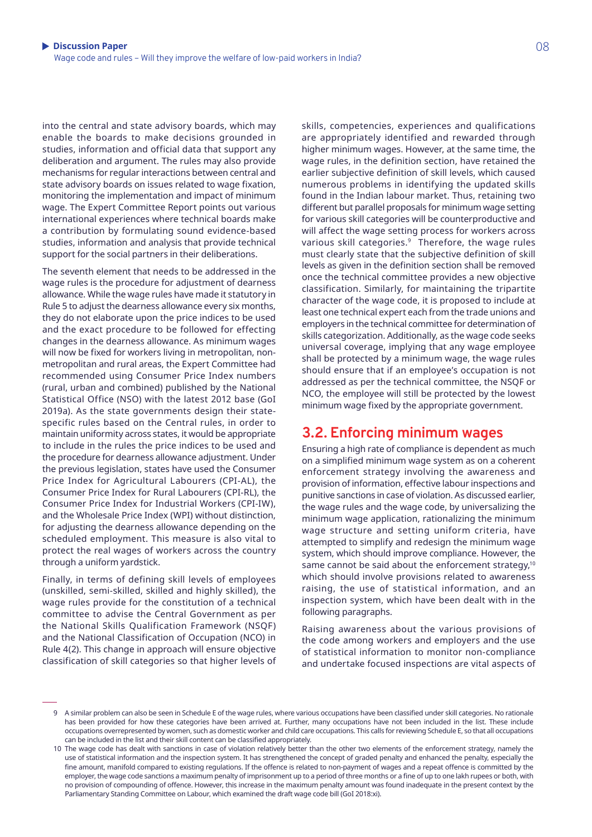into the central and state advisory boards, which may enable the boards to make decisions grounded in studies, information and official data that support any deliberation and argument. The rules may also provide mechanisms for regular interactions between central and state advisory boards on issues related to wage fixation, monitoring the implementation and impact of minimum wage. The Expert Committee Report points out various international experiences where technical boards make a contribution by formulating sound evidence-based studies, information and analysis that provide technical support for the social partners in their deliberations.

The seventh element that needs to be addressed in the wage rules is the procedure for adjustment of dearness allowance. While the wage rules have made it statutory in Rule 5 to adjust the dearness allowance every six months, they do not elaborate upon the price indices to be used and the exact procedure to be followed for effecting changes in the dearness allowance. As minimum wages will now be fixed for workers living in metropolitan, nonmetropolitan and rural areas, the Expert Committee had recommended using Consumer Price Index numbers (rural, urban and combined) published by the National Statistical Office (NSO) with the latest 2012 base (GoI 2019a). As the state governments design their statespecific rules based on the Central rules, in order to maintain uniformity across states, it would be appropriate to include in the rules the price indices to be used and the procedure for dearness allowance adjustment. Under the previous legislation, states have used the Consumer Price Index for Agricultural Labourers (CPI-AL), the Consumer Price Index for Rural Labourers (CPI-RL), the Consumer Price Index for Industrial Workers (CPI-IW), and the Wholesale Price Index (WPI) without distinction, for adjusting the dearness allowance depending on the scheduled employment. This measure is also vital to protect the real wages of workers across the country through a uniform yardstick.

Finally, in terms of defining skill levels of employees (unskilled, semi-skilled, skilled and highly skilled), the wage rules provide for the constitution of a technical committee to advise the Central Government as per the National Skills Qualification Framework (NSQF) and the National Classification of Occupation (NCO) in Rule 4(2). This change in approach will ensure objective classification of skill categories so that higher levels of skills, competencies, experiences and qualifications are appropriately identified and rewarded through higher minimum wages. However, at the same time, the wage rules, in the definition section, have retained the earlier subjective definition of skill levels, which caused numerous problems in identifying the updated skills found in the Indian labour market. Thus, retaining two different but parallel proposals for minimum wage setting for various skill categories will be counterproductive and will affect the wage setting process for workers across various skill categories.<sup>9</sup> Therefore, the wage rules must clearly state that the subjective definition of skill levels as given in the definition section shall be removed once the technical committee provides a new objective classification. Similarly, for maintaining the tripartite character of the wage code, it is proposed to include at least one technical expert each from the trade unions and employers in the technical committee for determination of skills categorization. Additionally, as the wage code seeks universal coverage, implying that any wage employee shall be protected by a minimum wage, the wage rules should ensure that if an employee's occupation is not addressed as per the technical committee, the NSQF or NCO, the employee will still be protected by the lowest minimum wage fixed by the appropriate government.

#### **3.2. Enforcing minimum wages**

Ensuring a high rate of compliance is dependent as much on a simplified minimum wage system as on a coherent enforcement strategy involving the awareness and provision of information, effective labour inspections and punitive sanctions in case of violation. As discussed earlier, the wage rules and the wage code, by universalizing the minimum wage application, rationalizing the minimum wage structure and setting uniform criteria, have attempted to simplify and redesign the minimum wage system, which should improve compliance. However, the same cannot be said about the enforcement strategy,<sup>10</sup> which should involve provisions related to awareness raising, the use of statistical information, and an inspection system, which have been dealt with in the following paragraphs.

Raising awareness about the various provisions of the code among workers and employers and the use of statistical information to monitor non-compliance and undertake focused inspections are vital aspects of

**Contact details** has been provided for how these categories have been arrived at. Further, many occupations have not been included in the list. These include 9 A similar problem can also be seen in Schedule E of the wage rules, where various occupations have been classified under skill categories. No rationale occupations overrepresented by women, such as domestic worker and child care occupations. This calls for reviewing Schedule E, so that all occupations can be included in the list and their skill content can be classified appropriately.

<sup>10</sup> The wage code has dealt with sanctions in case of violation relatively better than the other two elements of the enforcement strategy, namely the use of statistical information and the inspection system. It has strengthened the concept of graded penalty and enhanced the penalty, especially the fine amount, manifold compared to existing regulations. If the offence is related to non-payment of wages and a repeat offence is committed by the employer, the wage code sanctions a maximum penalty of imprisonment up to a period of three months or a fine of up to one lakh rupees or both, with no provision of compounding of offence. However, this increase in the maximum penalty amount was found inadequate in the present context by the Parliamentary Standing Committee on Labour, which examined the draft wage code bill (GoI 2018:xi).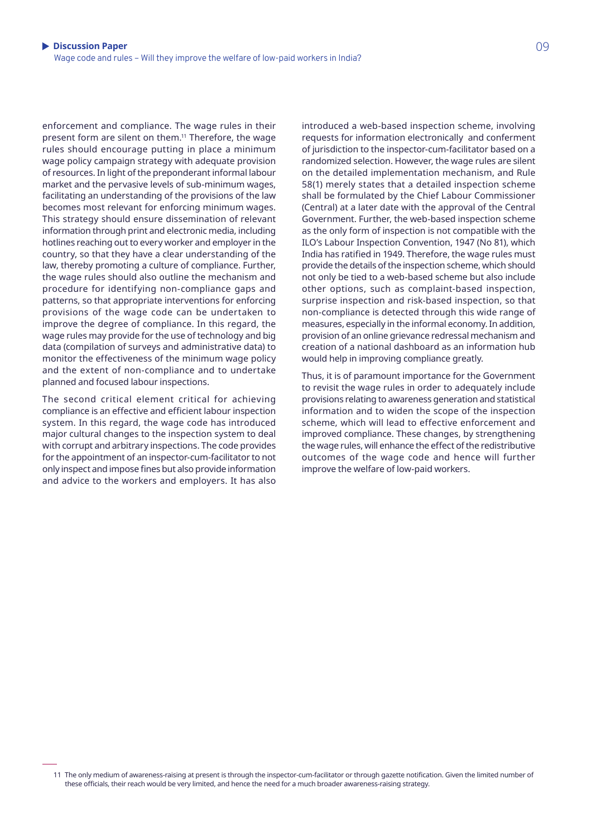enforcement and compliance. The wage rules in their present form are silent on them.<sup>11</sup> Therefore, the wage rules should encourage putting in place a minimum wage policy campaign strategy with adequate provision of resources. In light of the preponderant informal labour market and the pervasive levels of sub-minimum wages, facilitating an understanding of the provisions of the law becomes most relevant for enforcing minimum wages. This strategy should ensure dissemination of relevant information through print and electronic media, including hotlines reaching out to every worker and employer in the country, so that they have a clear understanding of the law, thereby promoting a culture of compliance. Further, the wage rules should also outline the mechanism and procedure for identifying non-compliance gaps and patterns, so that appropriate interventions for enforcing provisions of the wage code can be undertaken to improve the degree of compliance. In this regard, the wage rules may provide for the use of technology and big data (compilation of surveys and administrative data) to monitor the effectiveness of the minimum wage policy and the extent of non-compliance and to undertake planned and focused labour inspections.

The second critical element critical for achieving compliance is an effective and efficient labour inspection system. In this regard, the wage code has introduced major cultural changes to the inspection system to deal with corrupt and arbitrary inspections. The code provides for the appointment of an inspector-cum-facilitator to not only inspect and impose fines but also provide information and advice to the workers and employers. It has also

introduced a web-based inspection scheme, involving requests for information electronically and conferment of jurisdiction to the inspector-cum-facilitator based on a randomized selection. However, the wage rules are silent on the detailed implementation mechanism, and Rule 58(1) merely states that a detailed inspection scheme shall be formulated by the Chief Labour Commissioner (Central) at a later date with the approval of the Central Government. Further, the web-based inspection scheme as the only form of inspection is not compatible with the ILO's Labour Inspection Convention, 1947 (No 81), which India has ratified in 1949. Therefore, the wage rules must provide the details of the inspection scheme, which should not only be tied to a web-based scheme but also include other options, such as complaint-based inspection, surprise inspection and risk-based inspection, so that non-compliance is detected through this wide range of measures, especially in the informal economy. In addition, provision of an online grievance redressal mechanism and creation of a national dashboard as an information hub would help in improving compliance greatly.

Thus, it is of paramount importance for the Government to revisit the wage rules in order to adequately include provisions relating to awareness generation and statistical information and to widen the scope of the inspection scheme, which will lead to effective enforcement and improved compliance. These changes, by strengthening the wage rules, will enhance the effect of the redistributive outcomes of the wage code and hence will further improve the welfare of low-paid workers.

**Contact details** these officials, their reach would be very limited, and hence the need for a much broader awareness-raising strategy.11 The only medium of awareness-raising at present is through the inspector-cum-facilitator or through gazette notification. Given the limited number of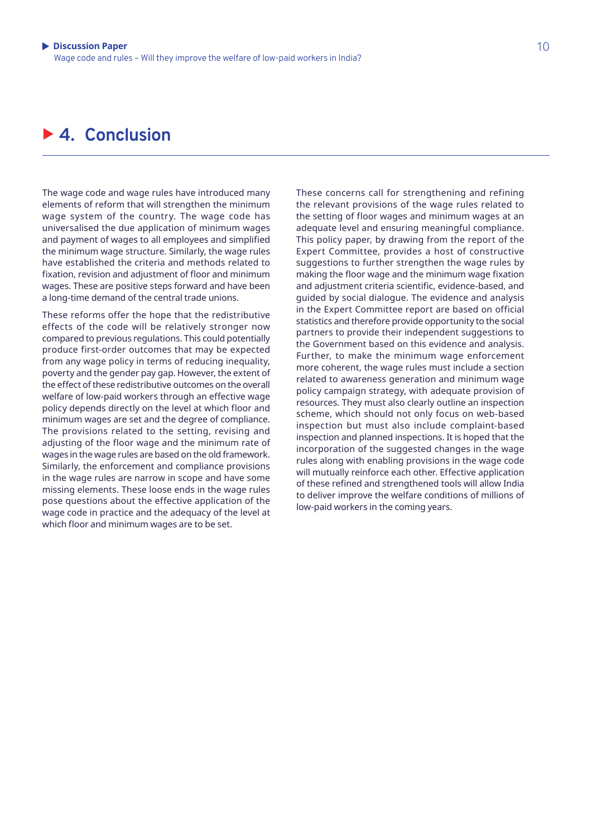### ▶ 4. **Conclusion**

The wage code and wage rules have introduced many elements of reform that will strengthen the minimum wage system of the country. The wage code has universalised the due application of minimum wages and payment of wages to all employees and simplified the minimum wage structure. Similarly, the wage rules have established the criteria and methods related to fixation, revision and adjustment of floor and minimum wages. These are positive steps forward and have been a long-time demand of the central trade unions.

These reforms offer the hope that the redistributive effects of the code will be relatively stronger now compared to previous regulations. This could potentially produce first-order outcomes that may be expected from any wage policy in terms of reducing inequality, poverty and the gender pay gap. However, the extent of the effect of these redistributive outcomes on the overall welfare of low-paid workers through an effective wage policy depends directly on the level at which floor and minimum wages are set and the degree of compliance. The provisions related to the setting, revising and adjusting of the floor wage and the minimum rate of wages in the wage rules are based on the old framework. Similarly, the enforcement and compliance provisions in the wage rules are narrow in scope and have some missing elements. These loose ends in the wage rules pose questions about the effective application of the wage code in practice and the adequacy of the level at which floor and minimum wages are to be set.

These concerns call for strengthening and refining the relevant provisions of the wage rules related to the setting of floor wages and minimum wages at an adequate level and ensuring meaningful compliance. This policy paper, by drawing from the report of the Expert Committee, provides a host of constructive suggestions to further strengthen the wage rules by making the floor wage and the minimum wage fixation and adjustment criteria scientific, evidence-based, and guided by social dialogue. The evidence and analysis in the Expert Committee report are based on official statistics and therefore provide opportunity to the social partners to provide their independent suggestions to the Government based on this evidence and analysis. Further, to make the minimum wage enforcement more coherent, the wage rules must include a section related to awareness generation and minimum wage policy campaign strategy, with adequate provision of resources. They must also clearly outline an inspection scheme, which should not only focus on web-based inspection but must also include complaint-based inspection and planned inspections. It is hoped that the incorporation of the suggested changes in the wage rules along with enabling provisions in the wage code will mutually reinforce each other. Effective application of these refined and strengthened tools will allow India to deliver improve the welfare conditions of millions of low-paid workers in the coming years.